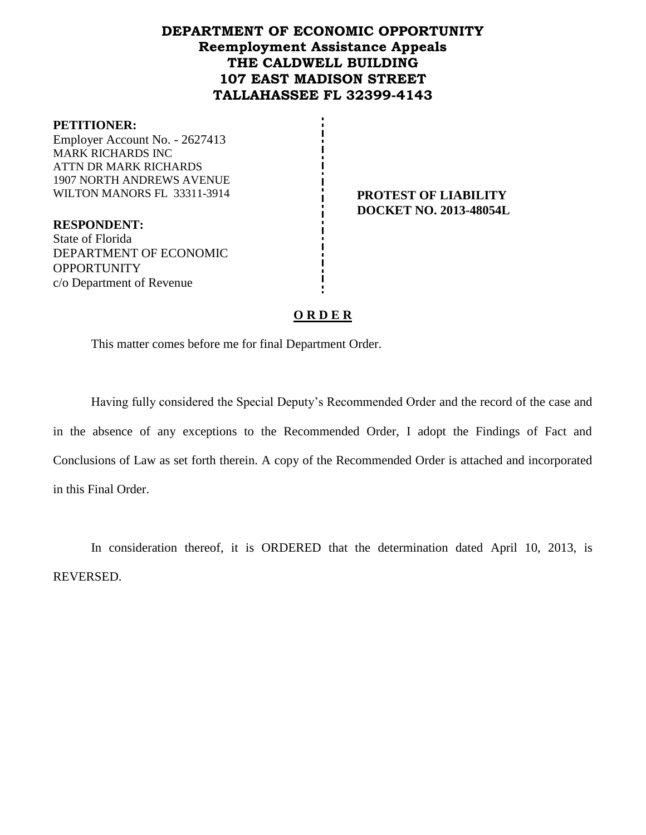## **DEPARTMENT OF ECONOMIC OPPORTUNITY Reemployment Assistance Appeals THE CALDWELL BUILDING 107 EAST MADISON STREET TALLAHASSEE FL 32399-4143**

#### **PETITIONER:**

Employer Account No. - 2627413 MARK RICHARDS INC ATTN DR MARK RICHARDS 1907 NORTH ANDREWS AVENUE WILTON MANORS FL 33311-3914 **PROTEST OF LIABILITY** 

**DOCKET NO. 2013-48054L**

**RESPONDENT:** State of Florida DEPARTMENT OF ECONOMIC **OPPORTUNITY** c/o Department of Revenue

### **O R D E R**

This matter comes before me for final Department Order.

Having fully considered the Special Deputy's Recommended Order and the record of the case and in the absence of any exceptions to the Recommended Order, I adopt the Findings of Fact and Conclusions of Law as set forth therein. A copy of the Recommended Order is attached and incorporated in this Final Order.

In consideration thereof, it is ORDERED that the determination dated April 10, 2013, is REVERSED.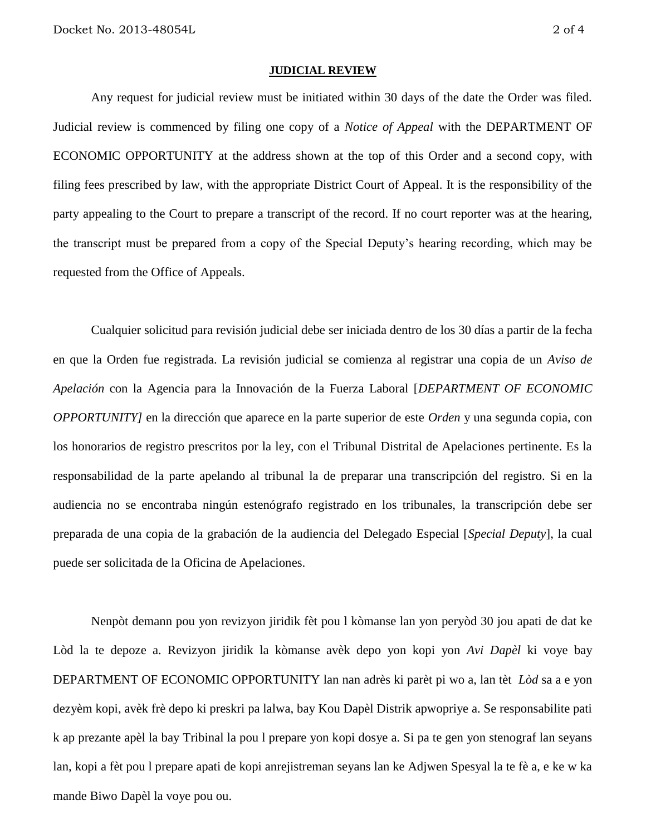#### **JUDICIAL REVIEW**

Any request for judicial review must be initiated within 30 days of the date the Order was filed. Judicial review is commenced by filing one copy of a *Notice of Appeal* with the DEPARTMENT OF ECONOMIC OPPORTUNITY at the address shown at the top of this Order and a second copy, with filing fees prescribed by law, with the appropriate District Court of Appeal. It is the responsibility of the party appealing to the Court to prepare a transcript of the record. If no court reporter was at the hearing, the transcript must be prepared from a copy of the Special Deputy's hearing recording, which may be requested from the Office of Appeals.

Cualquier solicitud para revisión judicial debe ser iniciada dentro de los 30 días a partir de la fecha en que la Orden fue registrada. La revisión judicial se comienza al registrar una copia de un *Aviso de Apelación* con la Agencia para la Innovación de la Fuerza Laboral [*DEPARTMENT OF ECONOMIC OPPORTUNITY]* en la dirección que aparece en la parte superior de este *Orden* y una segunda copia, con los honorarios de registro prescritos por la ley, con el Tribunal Distrital de Apelaciones pertinente. Es la responsabilidad de la parte apelando al tribunal la de preparar una transcripción del registro. Si en la audiencia no se encontraba ningún estenógrafo registrado en los tribunales, la transcripción debe ser preparada de una copia de la grabación de la audiencia del Delegado Especial [*Special Deputy*], la cual puede ser solicitada de la Oficina de Apelaciones.

Nenpòt demann pou yon revizyon jiridik fèt pou l kòmanse lan yon peryòd 30 jou apati de dat ke Lòd la te depoze a. Revizyon jiridik la kòmanse avèk depo yon kopi yon *Avi Dapèl* ki voye bay DEPARTMENT OF ECONOMIC OPPORTUNITY lan nan adrès ki parèt pi wo a, lan tèt *Lòd* sa a e yon dezyèm kopi, avèk frè depo ki preskri pa lalwa, bay Kou Dapèl Distrik apwopriye a. Se responsabilite pati k ap prezante apèl la bay Tribinal la pou l prepare yon kopi dosye a. Si pa te gen yon stenograf lan seyans lan, kopi a fèt pou l prepare apati de kopi anrejistreman seyans lan ke Adjwen Spesyal la te fè a, e ke w ka mande Biwo Dapèl la voye pou ou.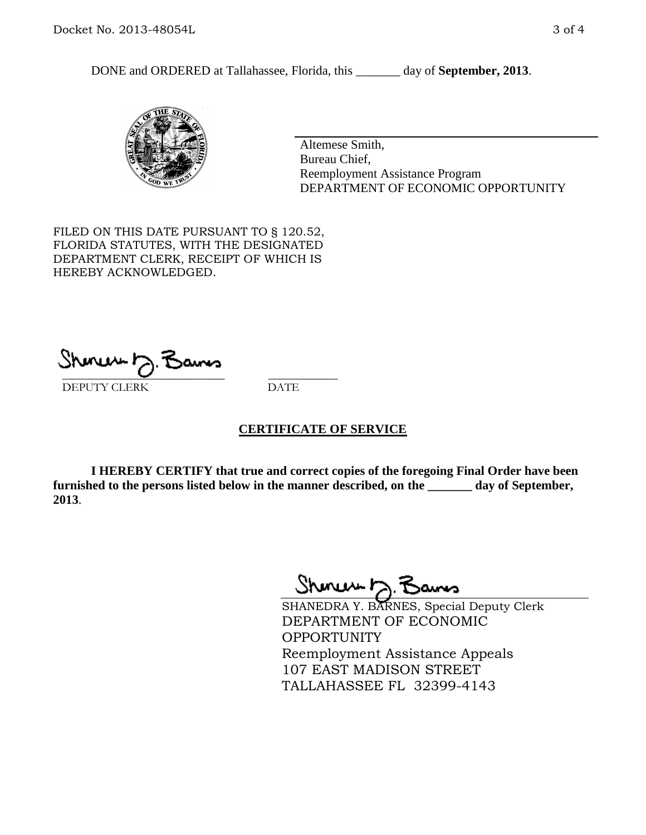DONE and ORDERED at Tallahassee, Florida, this \_\_\_\_\_\_\_ day of **September, 2013**.



Altemese Smith, Bureau Chief, Reemployment Assistance Program DEPARTMENT OF ECONOMIC OPPORTUNITY

FILED ON THIS DATE PURSUANT TO § 120.52, FLORIDA STATUTES, WITH THE DESIGNATED DEPARTMENT CLERK, RECEIPT OF WHICH IS HEREBY ACKNOWLEDGED.

 $\overline{\phantom{a}}$  ,  $\overline{\phantom{a}}$  ,  $\overline{\phantom{a}}$  ,  $\overline{\phantom{a}}$  ,  $\overline{\phantom{a}}$  ,  $\overline{\phantom{a}}$  ,  $\overline{\phantom{a}}$  ,  $\overline{\phantom{a}}$ DEPUTY CLERK DATE

### **CERTIFICATE OF SERVICE**

**I HEREBY CERTIFY that true and correct copies of the foregoing Final Order have been furnished to the persons listed below in the manner described, on the \_\_\_\_\_\_\_ day of September, 2013**.

Shoner D. Bans

SHANEDRA Y. BARNES, Special Deputy Clerk DEPARTMENT OF ECONOMIC OPPORTUNITY Reemployment Assistance Appeals 107 EAST MADISON STREET TALLAHASSEE FL 32399-4143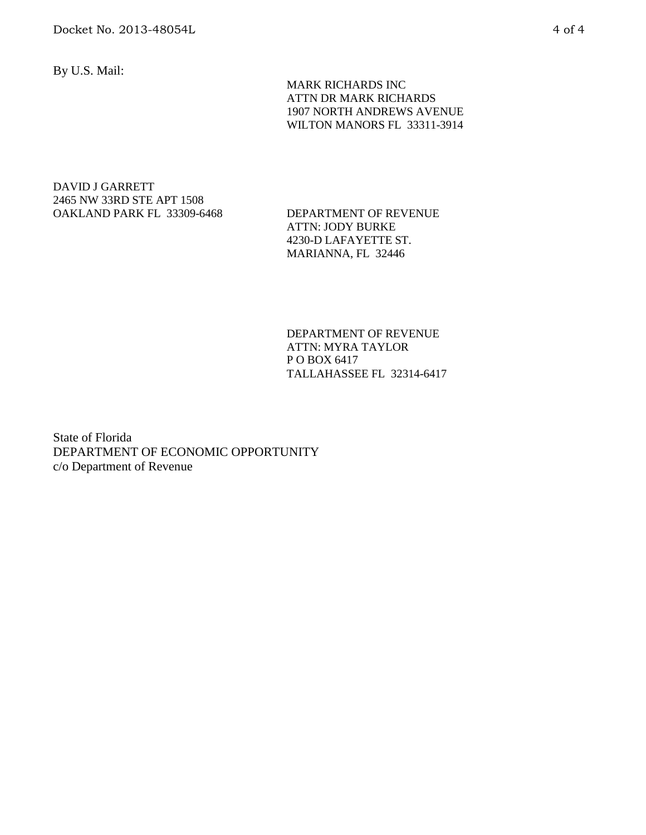By U.S. Mail:

 MARK RICHARDS INC ATTN DR MARK RICHARDS 1907 NORTH ANDREWS AVENUE WILTON MANORS FL 33311-3914

#### DAVID J GARRETT 2465 NW 33RD STE APT 1508 OAKLAND PARK FL 33309-6468 DEPARTMENT OF REVENUE

ATTN: JODY BURKE 4230-D LAFAYETTE ST. MARIANNA, FL 32446

DEPARTMENT OF REVENUE ATTN: MYRA TAYLOR P O BOX 6417 TALLAHASSEE FL 32314-6417

State of Florida DEPARTMENT OF ECONOMIC OPPORTUNITY c/o Department of Revenue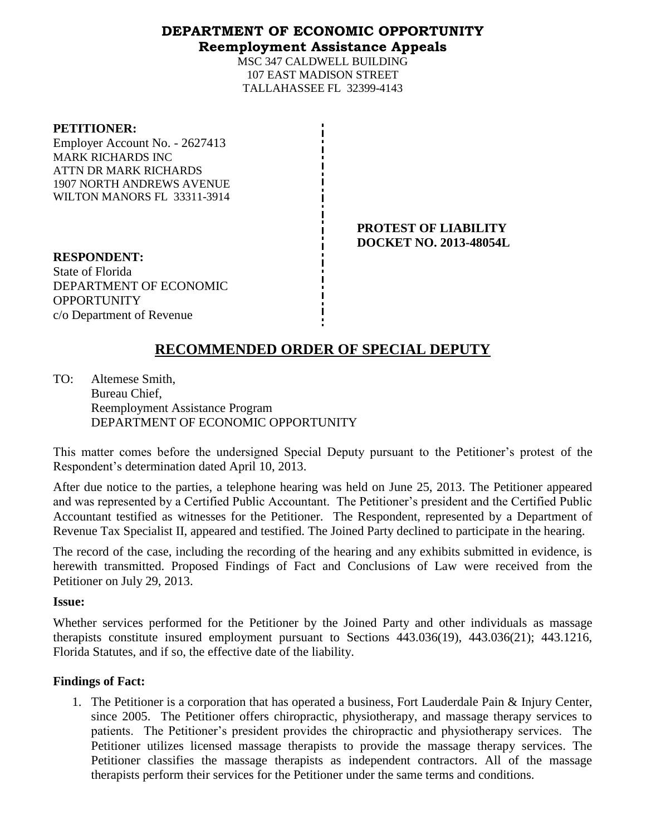### **DEPARTMENT OF ECONOMIC OPPORTUNITY Reemployment Assistance Appeals**

MSC 347 CALDWELL BUILDING 107 EAST MADISON STREET TALLAHASSEE FL 32399-4143

#### **PETITIONER:**

Employer Account No. - 2627413 MARK RICHARDS INC ATTN DR MARK RICHARDS 1907 NORTH ANDREWS AVENUE WILTON MANORS FL 33311-3914

> **PROTEST OF LIABILITY DOCKET NO. 2013-48054L**

**RESPONDENT:** State of Florida DEPARTMENT OF ECONOMIC **OPPORTUNITY** c/o Department of Revenue

# **RECOMMENDED ORDER OF SPECIAL DEPUTY**

TO: Altemese Smith, Bureau Chief, Reemployment Assistance Program DEPARTMENT OF ECONOMIC OPPORTUNITY

This matter comes before the undersigned Special Deputy pursuant to the Petitioner's protest of the Respondent's determination dated April 10, 2013.

After due notice to the parties, a telephone hearing was held on June 25, 2013. The Petitioner appeared and was represented by a Certified Public Accountant. The Petitioner's president and the Certified Public Accountant testified as witnesses for the Petitioner. The Respondent, represented by a Department of Revenue Tax Specialist II, appeared and testified. The Joined Party declined to participate in the hearing.

The record of the case, including the recording of the hearing and any exhibits submitted in evidence, is herewith transmitted. Proposed Findings of Fact and Conclusions of Law were received from the Petitioner on July 29, 2013.

#### **Issue:**

Whether services performed for the Petitioner by the Joined Party and other individuals as massage therapists constitute insured employment pursuant to Sections 443.036(19), 443.036(21); 443.1216, Florida Statutes, and if so, the effective date of the liability.

### **Findings of Fact:**

1. The Petitioner is a corporation that has operated a business, Fort Lauderdale Pain & Injury Center, since 2005. The Petitioner offers chiropractic, physiotherapy, and massage therapy services to patients. The Petitioner's president provides the chiropractic and physiotherapy services. The Petitioner utilizes licensed massage therapists to provide the massage therapy services. The Petitioner classifies the massage therapists as independent contractors. All of the massage therapists perform their services for the Petitioner under the same terms and conditions.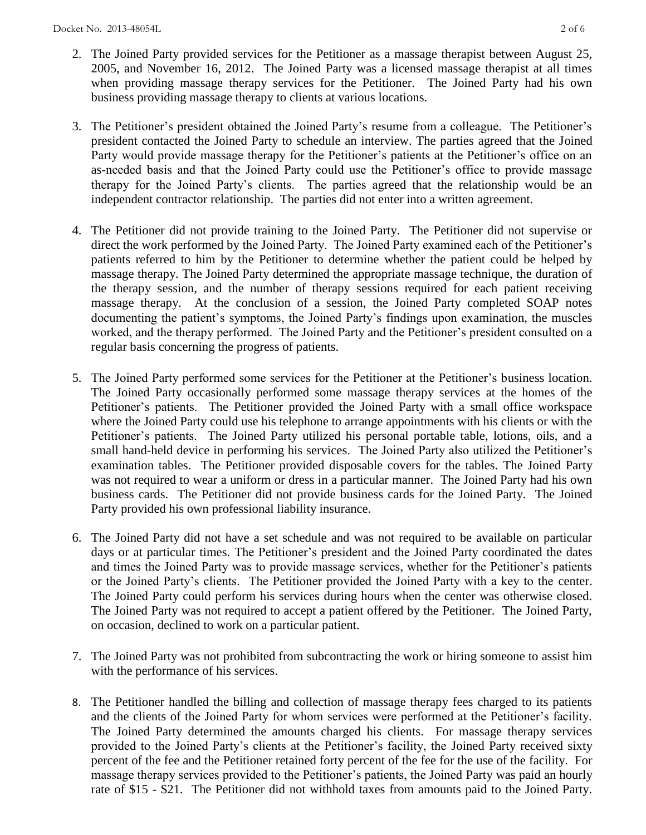- 2. The Joined Party provided services for the Petitioner as a massage therapist between August 25, 2005, and November 16, 2012. The Joined Party was a licensed massage therapist at all times when providing massage therapy services for the Petitioner. The Joined Party had his own business providing massage therapy to clients at various locations.
- 3. The Petitioner's president obtained the Joined Party's resume from a colleague. The Petitioner's president contacted the Joined Party to schedule an interview. The parties agreed that the Joined Party would provide massage therapy for the Petitioner's patients at the Petitioner's office on an as-needed basis and that the Joined Party could use the Petitioner's office to provide massage therapy for the Joined Party's clients. The parties agreed that the relationship would be an independent contractor relationship. The parties did not enter into a written agreement.
- 4. The Petitioner did not provide training to the Joined Party. The Petitioner did not supervise or direct the work performed by the Joined Party. The Joined Party examined each of the Petitioner's patients referred to him by the Petitioner to determine whether the patient could be helped by massage therapy. The Joined Party determined the appropriate massage technique, the duration of the therapy session, and the number of therapy sessions required for each patient receiving massage therapy. At the conclusion of a session, the Joined Party completed SOAP notes documenting the patient's symptoms, the Joined Party's findings upon examination, the muscles worked, and the therapy performed. The Joined Party and the Petitioner's president consulted on a regular basis concerning the progress of patients.
- 5. The Joined Party performed some services for the Petitioner at the Petitioner's business location. The Joined Party occasionally performed some massage therapy services at the homes of the Petitioner's patients. The Petitioner provided the Joined Party with a small office workspace where the Joined Party could use his telephone to arrange appointments with his clients or with the Petitioner's patients. The Joined Party utilized his personal portable table, lotions, oils, and a small hand-held device in performing his services. The Joined Party also utilized the Petitioner's examination tables. The Petitioner provided disposable covers for the tables. The Joined Party was not required to wear a uniform or dress in a particular manner. The Joined Party had his own business cards. The Petitioner did not provide business cards for the Joined Party. The Joined Party provided his own professional liability insurance.
- 6. The Joined Party did not have a set schedule and was not required to be available on particular days or at particular times. The Petitioner's president and the Joined Party coordinated the dates and times the Joined Party was to provide massage services, whether for the Petitioner's patients or the Joined Party's clients. The Petitioner provided the Joined Party with a key to the center. The Joined Party could perform his services during hours when the center was otherwise closed. The Joined Party was not required to accept a patient offered by the Petitioner. The Joined Party, on occasion, declined to work on a particular patient.
- 7. The Joined Party was not prohibited from subcontracting the work or hiring someone to assist him with the performance of his services.
- 8. The Petitioner handled the billing and collection of massage therapy fees charged to its patients and the clients of the Joined Party for whom services were performed at the Petitioner's facility. The Joined Party determined the amounts charged his clients. For massage therapy services provided to the Joined Party's clients at the Petitioner's facility, the Joined Party received sixty percent of the fee and the Petitioner retained forty percent of the fee for the use of the facility. For massage therapy services provided to the Petitioner's patients, the Joined Party was paid an hourly rate of \$15 - \$21. The Petitioner did not withhold taxes from amounts paid to the Joined Party.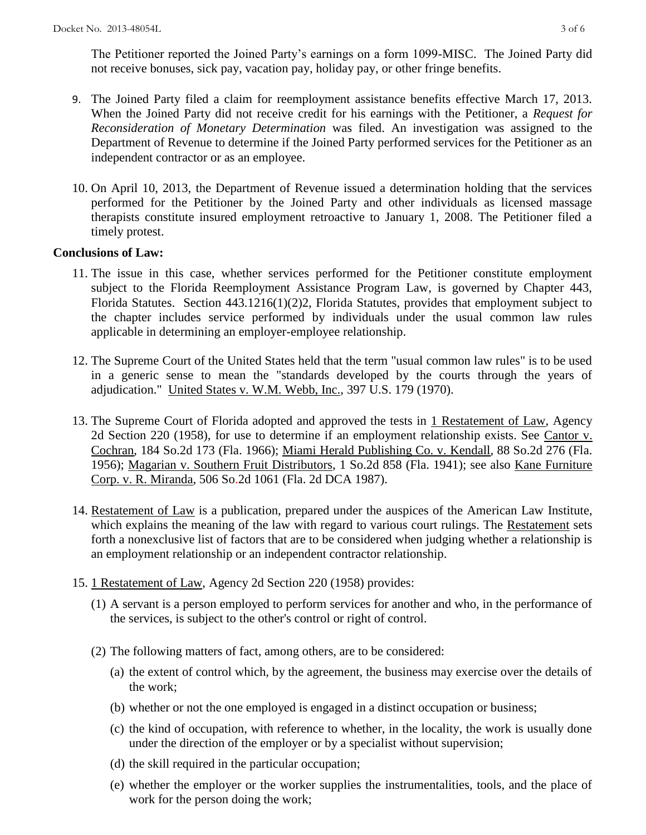The Petitioner reported the Joined Party's earnings on a form 1099-MISC. The Joined Party did not receive bonuses, sick pay, vacation pay, holiday pay, or other fringe benefits.

- 9. The Joined Party filed a claim for reemployment assistance benefits effective March 17, 2013. When the Joined Party did not receive credit for his earnings with the Petitioner, a *Request for Reconsideration of Monetary Determination* was filed. An investigation was assigned to the Department of Revenue to determine if the Joined Party performed services for the Petitioner as an independent contractor or as an employee.
- 10. On April 10, 2013, the Department of Revenue issued a determination holding that the services performed for the Petitioner by the Joined Party and other individuals as licensed massage therapists constitute insured employment retroactive to January 1, 2008. The Petitioner filed a timely protest.

### **Conclusions of Law:**

- 11. The issue in this case, whether services performed for the Petitioner constitute employment subject to the Florida Reemployment Assistance Program Law, is governed by Chapter 443, Florida Statutes. Section 443.1216(1)(2)2, Florida Statutes, provides that employment subject to the chapter includes service performed by individuals under the usual common law rules applicable in determining an employer-employee relationship.
- 12. The Supreme Court of the United States held that the term "usual common law rules" is to be used in a generic sense to mean the "standards developed by the courts through the years of adjudication." United States v. W.M. Webb, Inc., 397 U.S. 179 (1970).
- 13. The Supreme Court of Florida adopted and approved the tests in 1 Restatement of Law, Agency 2d Section 220 (1958), for use to determine if an employment relationship exists. See Cantor v. Cochran, 184 So.2d 173 (Fla. 1966); Miami Herald Publishing Co. v. Kendall, 88 So.2d 276 (Fla. 1956); Magarian v. Southern Fruit Distributors, 1 So.2d 858 (Fla. 1941); see also Kane Furniture Corp. v. R. Miranda, 506 So.2d 1061 (Fla. 2d DCA 1987).
- 14. Restatement of Law is a publication, prepared under the auspices of the American Law Institute, which explains the meaning of the law with regard to various court rulings. The Restatement sets forth a nonexclusive list of factors that are to be considered when judging whether a relationship is an employment relationship or an independent contractor relationship.
- 15. 1 Restatement of Law, Agency 2d Section 220 (1958) provides:
	- (1) A servant is a person employed to perform services for another and who, in the performance of the services, is subject to the other's control or right of control.
	- (2) The following matters of fact, among others, are to be considered:
		- (a) the extent of control which, by the agreement, the business may exercise over the details of the work;
		- (b) whether or not the one employed is engaged in a distinct occupation or business;
		- (c) the kind of occupation, with reference to whether, in the locality, the work is usually done under the direction of the employer or by a specialist without supervision;
		- (d) the skill required in the particular occupation;
		- (e) whether the employer or the worker supplies the instrumentalities, tools, and the place of work for the person doing the work;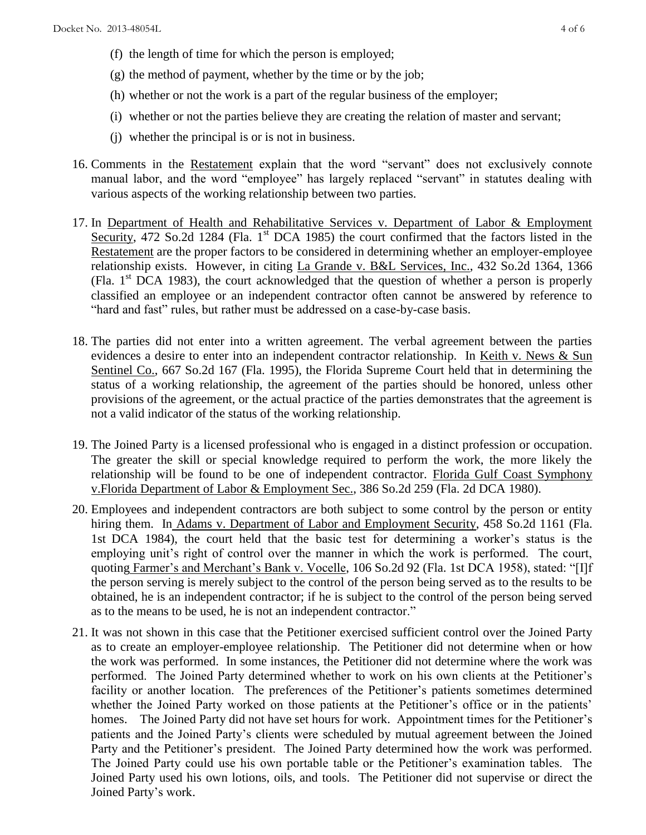- (f) the length of time for which the person is employed;
- (g) the method of payment, whether by the time or by the job;
- (h) whether or not the work is a part of the regular business of the employer;
- (i) whether or not the parties believe they are creating the relation of master and servant;
- (j) whether the principal is or is not in business.
- 16. Comments in the Restatement explain that the word "servant" does not exclusively connote manual labor, and the word "employee" has largely replaced "servant" in statutes dealing with various aspects of the working relationship between two parties.
- 17. In Department of Health and Rehabilitative Services v. Department of Labor & Employment Security, 472 So.2d 1284 (Fla. 1<sup>st</sup> DCA 1985) the court confirmed that the factors listed in the Restatement are the proper factors to be considered in determining whether an employer-employee relationship exists. However, in citing La Grande v. B&L Services, Inc., 432 So.2d 1364, 1366 (Fla.  $1<sup>st</sup>$  DCA 1983), the court acknowledged that the question of whether a person is properly classified an employee or an independent contractor often cannot be answered by reference to "hard and fast" rules, but rather must be addressed on a case-by-case basis.
- 18. The parties did not enter into a written agreement. The verbal agreement between the parties evidences a desire to enter into an independent contractor relationship. In Keith v. News & Sun Sentinel Co., 667 So.2d 167 (Fla. 1995), the Florida Supreme Court held that in determining the status of a working relationship, the agreement of the parties should be honored, unless other provisions of the agreement, or the actual practice of the parties demonstrates that the agreement is not a valid indicator of the status of the working relationship.
- 19. The Joined Party is a licensed professional who is engaged in a distinct profession or occupation. The greater the skill or special knowledge required to perform the work, the more likely the relationship will be found to be one of independent contractor. Florida Gulf Coast Symphony v.Florida Department of Labor & Employment Sec., 386 So.2d 259 (Fla. 2d DCA 1980).
- 20. Employees and independent contractors are both subject to some control by the person or entity hiring them. In Adams v. Department of Labor and Employment Security, 458 So.2d 1161 (Fla. 1st DCA 1984), the court held that the basic test for determining a worker's status is the employing unit's right of control over the manner in which the work is performed. The court, quoting Farmer's and Merchant's Bank v. Vocelle, 106 So.2d 92 (Fla. 1st DCA 1958), stated: "[I]f the person serving is merely subject to the control of the person being served as to the results to be obtained, he is an independent contractor; if he is subject to the control of the person being served as to the means to be used, he is not an independent contractor."
- 21. It was not shown in this case that the Petitioner exercised sufficient control over the Joined Party as to create an employer-employee relationship. The Petitioner did not determine when or how the work was performed. In some instances, the Petitioner did not determine where the work was performed. The Joined Party determined whether to work on his own clients at the Petitioner's facility or another location. The preferences of the Petitioner's patients sometimes determined whether the Joined Party worked on those patients at the Petitioner's office or in the patients' homes. The Joined Party did not have set hours for work. Appointment times for the Petitioner's patients and the Joined Party's clients were scheduled by mutual agreement between the Joined Party and the Petitioner's president. The Joined Party determined how the work was performed. The Joined Party could use his own portable table or the Petitioner's examination tables. The Joined Party used his own lotions, oils, and tools. The Petitioner did not supervise or direct the Joined Party's work.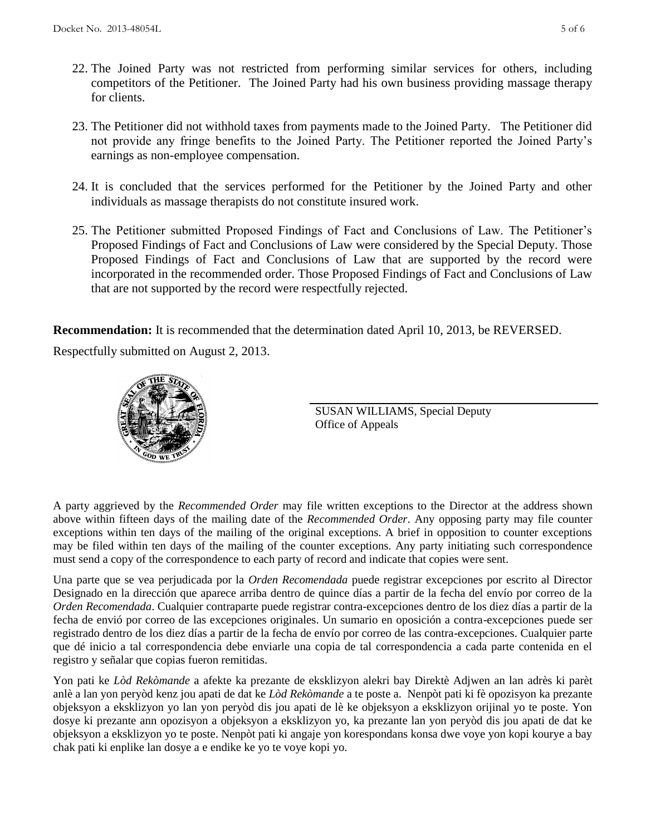- 22. The Joined Party was not restricted from performing similar services for others, including competitors of the Petitioner. The Joined Party had his own business providing massage therapy for clients.
- 23. The Petitioner did not withhold taxes from payments made to the Joined Party. The Petitioner did not provide any fringe benefits to the Joined Party. The Petitioner reported the Joined Party's earnings as non-employee compensation.
- 24. It is concluded that the services performed for the Petitioner by the Joined Party and other individuals as massage therapists do not constitute insured work.
- 25. The Petitioner submitted Proposed Findings of Fact and Conclusions of Law. The Petitioner's Proposed Findings of Fact and Conclusions of Law were considered by the Special Deputy. Those Proposed Findings of Fact and Conclusions of Law that are supported by the record were incorporated in the recommended order. Those Proposed Findings of Fact and Conclusions of Law that are not supported by the record were respectfully rejected.

**Recommendation:** It is recommended that the determination dated April 10, 2013, be REVERSED.

Respectfully submitted on August 2, 2013.



SUSAN WILLIAMS, Special Deputy Office of Appeals

A party aggrieved by the *Recommended Order* may file written exceptions to the Director at the address shown above within fifteen days of the mailing date of the *Recommended Order*. Any opposing party may file counter exceptions within ten days of the mailing of the original exceptions. A brief in opposition to counter exceptions may be filed within ten days of the mailing of the counter exceptions. Any party initiating such correspondence must send a copy of the correspondence to each party of record and indicate that copies were sent.

Una parte que se vea perjudicada por la *Orden Recomendada* puede registrar excepciones por escrito al Director Designado en la dirección que aparece arriba dentro de quince días a partir de la fecha del envío por correo de la *Orden Recomendada*. Cualquier contraparte puede registrar contra-excepciones dentro de los diez días a partir de la fecha de envió por correo de las excepciones originales. Un sumario en oposición a contra-excepciones puede ser registrado dentro de los diez días a partir de la fecha de envío por correo de las contra-excepciones. Cualquier parte que dé inicio a tal correspondencia debe enviarle una copia de tal correspondencia a cada parte contenida en el registro y señalar que copias fueron remitidas.

Yon pati ke *Lòd Rekòmande* a afekte ka prezante de eksklizyon alekri bay Direktè Adjwen an lan adrès ki parèt anlè a lan yon peryòd kenz jou apati de dat ke *Lòd Rekòmande* a te poste a. Nenpòt pati ki fè opozisyon ka prezante objeksyon a eksklizyon yo lan yon peryòd dis jou apati de lè ke objeksyon a eksklizyon orijinal yo te poste. Yon dosye ki prezante ann opozisyon a objeksyon a eksklizyon yo, ka prezante lan yon peryòd dis jou apati de dat ke objeksyon a eksklizyon yo te poste. Nenpòt pati ki angaje yon korespondans konsa dwe voye yon kopi kourye a bay chak pati ki enplike lan dosye a e endike ke yo te voye kopi yo.